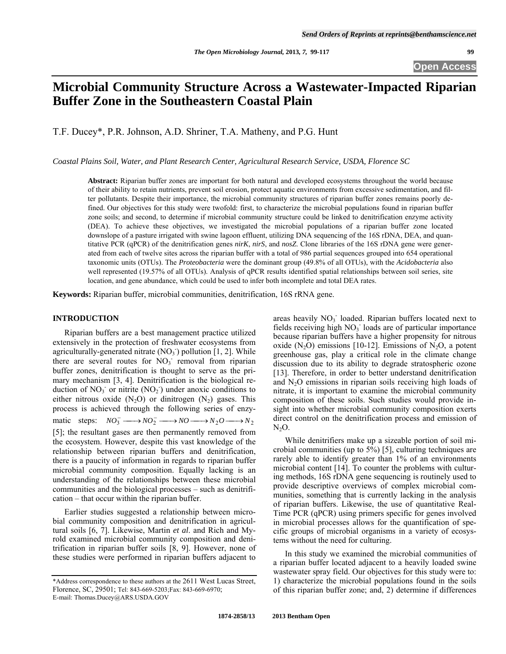# **Microbial Community Structure Across a Wastewater-Impacted Riparian Buffer Zone in the Southeastern Coastal Plain**

T.F. Ducey\*, P.R. Johnson, A.D. Shriner, T.A. Matheny, and P.G. Hunt

*Coastal Plains Soil, Water, and Plant Research Center, Agricultural Research Service, USDA, Florence SC* 

**Abstract:** Riparian buffer zones are important for both natural and developed ecosystems throughout the world because of their ability to retain nutrients, prevent soil erosion, protect aquatic environments from excessive sedimentation, and filter pollutants. Despite their importance, the microbial community structures of riparian buffer zones remains poorly defined. Our objectives for this study were twofold: first, to characterize the microbial populations found in riparian buffer zone soils; and second, to determine if microbial community structure could be linked to denitrification enzyme activity (DEA). To achieve these objectives, we investigated the microbial populations of a riparian buffer zone located downslope of a pasture irrigated with swine lagoon effluent, utilizing DNA sequencing of the 16S rDNA, DEA, and quantitative PCR (qPCR) of the denitrification genes *nirK*, *nirS*, and *nosZ*. Clone libraries of the 16S rDNA gene were generated from each of twelve sites across the riparian buffer with a total of 986 partial sequences grouped into 654 operational taxonomic units (OTUs). The *Proteobacteria* were the dominant group (49.8% of all OTUs), with the *Acidobacteria* also well represented (19.57% of all OTUs). Analysis of qPCR results identified spatial relationships between soil series, site location, and gene abundance, which could be used to infer both incomplete and total DEA rates.

**Keywords:** Riparian buffer, microbial communities, denitrification, 16S rRNA gene.

## **INTRODUCTION**

 Riparian buffers are a best management practice utilized extensively in the protection of freshwater ecosystems from agriculturally-generated nitrate  $(NO<sub>3</sub>)$  pollution [1, 2]. While there are several routes for NO<sub>3</sub> removal from riparian buffer zones, denitrification is thought to serve as the primary mechanism [3, 4]. Denitrification is the biological reduction of  $NO_3^-$  or nitrite  $(NO_2^-)$  under anoxic conditions to either nitrous oxide  $(N_2O)$  or dinitrogen  $(N_2)$  gases. This process is achieved through the following series of enzymatic steps:  $NO_3^- \longrightarrow NO_2^- \longrightarrow NO \longrightarrow NO \longrightarrow N_2O \longrightarrow N_2$ [5]; the resultant gases are then permanently removed from the ecosystem. However, despite this vast knowledge of the relationship between riparian buffers and denitrification, there is a paucity of information in regards to riparian buffer microbial community composition. Equally lacking is an understanding of the relationships between these microbial communities and the biological processes – such as denitrification – that occur within the riparian buffer.

 Earlier studies suggested a relationship between microbial community composition and denitrification in agricultural soils [6, 7]. Likewise, Martin *et al*. and Rich and Myrold examined microbial community composition and denitrification in riparian buffer soils [8, 9]. However, none of these studies were performed in riparian buffers adjacent to

areas heavily  $NO<sub>3</sub>$  loaded. Riparian buffers located next to fields receiving high  $NO<sub>3</sub>$  loads are of particular importance because riparian buffers have a higher propensity for nitrous oxide (N<sub>2</sub>O) emissions [10-12]. Emissions of N<sub>2</sub>O, a potent greenhouse gas, play a critical role in the climate change discussion due to its ability to degrade stratospheric ozone [13]. Therefore, in order to better understand denitrification and  $N<sub>2</sub>O$  emissions in riparian soils receiving high loads of nitrate, it is important to examine the microbial community composition of these soils. Such studies would provide insight into whether microbial community composition exerts direct control on the denitrification process and emission of  $N<sub>2</sub>O$ .

 While denitrifiers make up a sizeable portion of soil microbial communities (up to 5%) [5], culturing techniques are rarely able to identify greater than 1% of an environments microbial content [14]. To counter the problems with culturing methods, 16S rDNA gene sequencing is routinely used to provide descriptive overviews of complex microbial communities, something that is currently lacking in the analysis of riparian buffers. Likewise, the use of quantitative Real-Time PCR (qPCR) using primers specific for genes involved in microbial processes allows for the quantification of specific groups of microbial organisms in a variety of ecosystems without the need for culturing.

 In this study we examined the microbial communities of a riparian buffer located adjacent to a heavily loaded swine wastewater spray field. Our objectives for this study were to: 1) characterize the microbial populations found in the soils of this riparian buffer zone; and, 2) determine if differences

<sup>\*</sup>Address correspondence to these authors at the 2611 West Lucas Street, Florence, SC, 29501; Tel: 843-669-5203;Fax: 843-669-6970; E-mail: Thomas.Ducey@ARS.USDA.GOV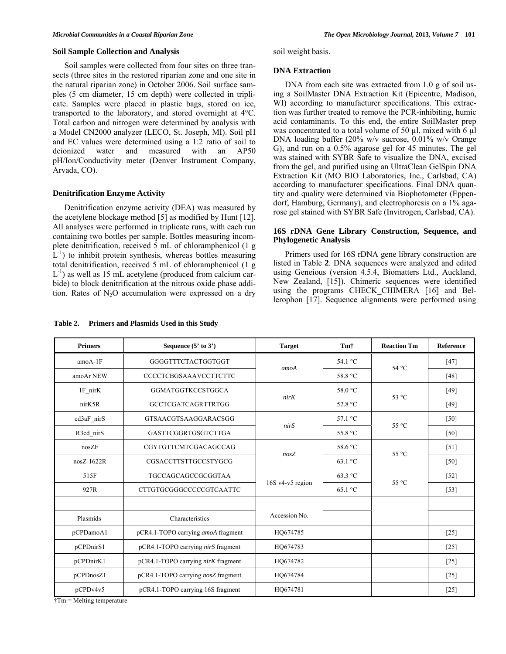## **Soil Sample Collection and Analysis**

 Soil samples were collected from four sites on three transects (three sites in the restored riparian zone and one site in the natural riparian zone) in October 2006. Soil surface samples (5 cm diameter, 15 cm depth) were collected in triplicate. Samples were placed in plastic bags, stored on ice, transported to the laboratory, and stored overnight at 4°C. Total carbon and nitrogen were determined by analysis with a Model CN2000 analyzer (LECO, St. Joseph, MI). Soil pH and EC values were determined using a 1:2 ratio of soil to deionized water and measured with an AP50 pH/Ion/Conductivity meter (Denver Instrument Company, Arvada, CO).

#### **Denitrification Enzyme Activity**

 Denitrification enzyme activity (DEA) was measured by the acetylene blockage method [5] as modified by Hunt [12]. All analyses were performed in triplicate runs, with each run containing two bottles per sample. Bottles measuring incomplete denitrification, received 5 mL of chloramphenicol (1 g  $L^{-1}$ ) to inhibit protein synthesis, whereas bottles measuring total denitrification, received 5 mL of chloramphenicol (1 g  $L^{-1}$ ) as well as 15 mL acetylene (produced from calcium carbide) to block denitrification at the nitrous oxide phase addition. Rates of  $N_2O$  accumulation were expressed on a dry

#### **Table 2. Primers and Plasmids Used in this Study**

soil weight basis.

#### **DNA Extraction**

DNA from each site was extracted from 1.0 g of soil using a SoilMaster DNA Extraction Kit (Epicentre, Madison, WI) according to manufacturer specifications. This extraction was further treated to remove the PCR-inhibiting, humic acid contaminants. To this end, the entire SoilMaster prep was concentrated to a total volume of 50 µl, mixed with 6 µl DNA loading buffer (20% w/v sucrose, 0.01% w/v Orange G), and run on a 0.5% agarose gel for 45 minutes. The gel was stained with SYBR Safe to visualize the DNA, excised from the gel, and purified using an UltraClean GelSpin DNA Extraction Kit (MO BIO Laboratories, Inc., Carlsbad, CA) according to manufacturer specifications. Final DNA quantity and quality were determined via Biophotometer (Eppendorf, Hamburg, Germany), and electrophoresis on a 1% agarose gel stained with SYBR Safe (Invitrogen, Carlsbad, CA).

## **16S rDNA Gene Library Construction, Sequence, and Phylogenetic Analysis**

 Primers used for 16S rDNA gene library construction are listed in Table **2**. DNA sequences were analyzed and edited using Geneious (version 4.5.4, Biomatters Ltd., Auckland, New Zealand, [15]). Chimeric sequences were identified using the programs CHECK\_CHIMERA [16] and Bellerophon [17]. Sequence alignments were performed using

| <b>Primers</b> | Sequence $(5'$ to $3')$            | <b>Target</b>                                    | Tmt            | <b>Reaction Tm</b> | Reference          |
|----------------|------------------------------------|--------------------------------------------------|----------------|--------------------|--------------------|
| $amoA-1F$      | GGGGTTTCTACTGGTGGT                 | 54.1 °C<br>amoA<br>58.8 °C                       | 54 °C          | $[47]$             |                    |
| amoAr NEW      | <b>CCCCTCBGSAAAVCCTTCTTC</b>       |                                                  |                |                    | $[48]$             |
| 1F nirK        | GGMATGGTKCCSTGGCA                  | 58.0 °C<br>$53^{\circ}$ C<br>nirK<br>52.8 °C     |                | [49]               |                    |
| nirK5R         | <b>GCCTCGATCAGRTTRTGG</b>          |                                                  |                |                    | $[49]$             |
| cd3aF_nirS     | GTSAACGTSAAGGARACSGG               | nirS                                             | 57.1 °C        | $55^{\circ}$ C     | [50]               |
| R3cd_nirS      | GASTTCGGRTGSGTCTTGA                |                                                  | 55.8 °C        |                    | [50]               |
| nosZF          | CGYTGTTCMTCGACAGCCAG               | 58.6 °C<br>nosZ<br>$63.1 \text{ °C}$             |                | $55^{\circ}$ C     | $\lceil 51 \rceil$ |
| $nosZ-1622R$   | CGSACCTTSTTGCCSTYGCG               |                                                  |                |                    | $[50]$             |
| 515F           | TGCCAGCAGCCGCGGTAA                 | 63.3 °C<br>16S v4-v5 region<br>$65.1 \text{ °C}$ | $55^{\circ}$ C | $[52]$             |                    |
| 927R           | CTTGTGCGGGCCCCCGTCAATTC            |                                                  |                |                    | $[53]$             |
|                |                                    |                                                  |                |                    |                    |
| Plasmids       | Characteristics                    | Accession No.                                    |                |                    |                    |
| pCPDamoA1      | pCR4.1-TOPO carrying amoA fragment | HQ674785                                         |                |                    | $[25]$             |
| pCPDnirS1      | pCR4.1-TOPO carrying nirS fragment | HO674783                                         |                |                    | $[25]$             |
| pCPDnirK1      | pCR4.1-TOPO carrying nirK fragment | HQ674782                                         |                |                    | $[25]$             |
| pCPDnosZ1      | pCR4.1-TOPO carrying nosZ fragment | HQ674784                                         |                |                    | $[25]$             |
| pCPDv4v5       | pCR4.1-TOPO carrying 16S fragment  | HO674781                                         |                |                    | $[25]$             |

†Tm = Melting temperature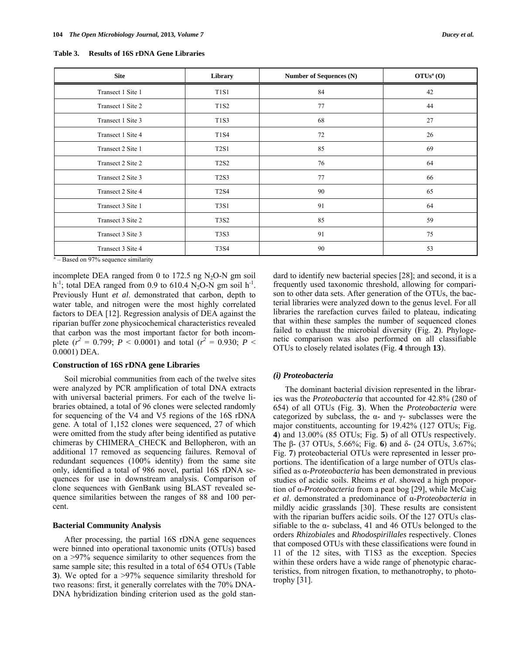| <b>Site</b>       | Library     | Number of Sequences (N) | OTUs <sup>a</sup> (O) |
|-------------------|-------------|-------------------------|-----------------------|
| Transect 1 Site 1 | <b>T1S1</b> | 84                      | 42                    |
| Transect 1 Site 2 | <b>T1S2</b> | 77                      | 44                    |
| Transect 1 Site 3 | <b>T1S3</b> | 68                      | 27                    |
| Transect 1 Site 4 | T1S4        | 72                      | 26                    |
| Transect 2 Site 1 | T2S1        | 85                      | 69                    |
| Transect 2 Site 2 | <b>T2S2</b> | 76                      | 64                    |
| Transect 2 Site 3 | <b>T2S3</b> | 77                      | 66                    |
| Transect 2 Site 4 | <b>T2S4</b> | 90                      | 65                    |
| Transect 3 Site 1 | <b>T3S1</b> | 91                      | 64                    |
| Transect 3 Site 2 | <b>T3S2</b> | 85                      | 59                    |
| Transect 3 Site 3 | <b>T3S3</b> | 91                      | 75                    |
| Transect 3 Site 4 | <b>T3S4</b> | 90                      | 53                    |

**Table 3. Results of 16S rDNA Gene Libraries** 

 $a -$  Based on 97% sequence similarity

incomplete DEA ranged from 0 to 172.5 ng  $N_2O-N$  gm soil h<sup>-1</sup>; total DEA ranged from 0.9 to 610.4 N<sub>2</sub>O-N gm soil h<sup>-1</sup>. Previously Hunt *et al*. demonstrated that carbon, depth to water table, and nitrogen were the most highly correlated factors to DEA [12]. Regression analysis of DEA against the riparian buffer zone physicochemical characteristics revealed that carbon was the most important factor for both incomplete ( $r^2 = 0.799$ ;  $P < 0.0001$ ) and total ( $r^2 = 0.930$ ;  $P <$ 0.0001) DEA.

## **Construction of 16S rDNA gene Libraries**

 Soil microbial communities from each of the twelve sites were analyzed by PCR amplification of total DNA extracts with universal bacterial primers. For each of the twelve libraries obtained, a total of 96 clones were selected randomly for sequencing of the V4 and V5 regions of the 16S rDNA gene. A total of 1,152 clones were sequenced, 27 of which were omitted from the study after being identified as putative chimeras by CHIMERA\_CHECK and Bellopheron, with an additional 17 removed as sequencing failures. Removal of redundant sequences (100% identity) from the same site only, identified a total of 986 novel, partial 16S rDNA sequences for use in downstream analysis. Comparison of clone sequences with GenBank using BLAST revealed sequence similarities between the ranges of 88 and 100 percent.

# **Bacterial Community Analysis**

 After processing, the partial 16S rDNA gene sequences were binned into operational taxonomic units (OTUs) based on a >97% sequence similarity to other sequences from the same sample site; this resulted in a total of 654 OTUs (Table **3**). We opted for a >97% sequence similarity threshold for two reasons: first, it generally correlates with the 70% DNA-DNA hybridization binding criterion used as the gold standard to identify new bacterial species [28]; and second, it is a frequently used taxonomic threshold, allowing for comparison to other data sets. After generation of the OTUs, the bacterial libraries were analyzed down to the genus level. For all libraries the rarefaction curves failed to plateau, indicating that within these samples the number of sequenced clones failed to exhaust the microbial diversity (Fig. **2**). Phylogenetic comparison was also performed on all classifiable OTUs to closely related isolates (Fig. **4** through **13**).

# *(i) Proteobacteria*

 The dominant bacterial division represented in the libraries was the *Proteobacteria* that accounted for 42.8% (280 of 654) of all OTUs (Fig. **3**). When the *Proteobacteria* were categorized by subclass, the  $\alpha$ - and  $\gamma$ - subclasses were the major constituents, accounting for 19.42% (127 OTUs; Fig. **4**) and 13.00% (85 OTUs; Fig. **5**) of all OTUs respectively. The β- (37 OTUs, 5.66%; Fig. **6**) and δ- (24 OTUs, 3.67%; Fig. **7**) proteobacterial OTUs were represented in lesser proportions. The identification of a large number of OTUs classified as α-*Proteobacteria* has been demonstrated in previous studies of acidic soils. Rheims *et al*. showed a high proportion of α-*Proteobacteria* from a peat bog [29], while McCaig *et al*. demonstrated a predominance of α-*Proteobacteria* in mildly acidic grasslands [30]. These results are consistent with the riparian buffers acidic soils. Of the 127 OTUs classifiable to the  $\alpha$ - subclass, 41 and 46 OTUs belonged to the orders *Rhizobiales* and *Rhodospirillales* respectively. Clones that composed OTUs with these classifications were found in 11 of the 12 sites, with T1S3 as the exception. Species within these orders have a wide range of phenotypic characteristics, from nitrogen fixation, to methanotrophy, to phototrophy [31].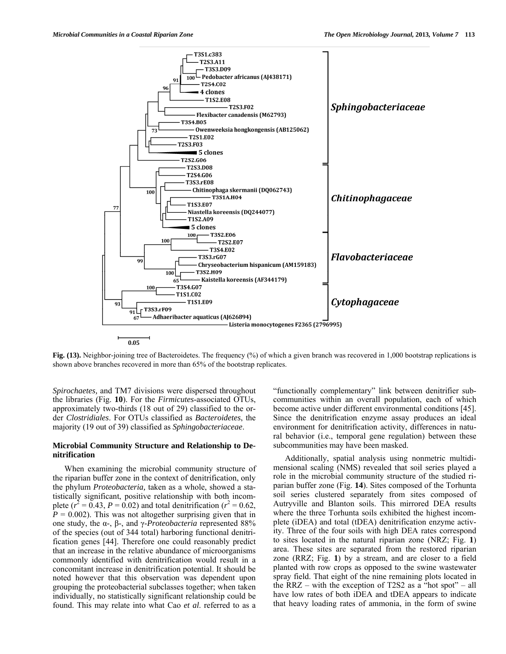

**Fig. (13).** Neighbor-joining tree of Bacteroidetes. The frequency (%) of which a given branch was recovered in 1,000 bootstrap replications is shown above branches recovered in more than 65% of the bootstrap replicates.

*Spirochaetes,* and TM7 divisions were dispersed throughout the libraries (Fig. **10**). For the *Firmicutes*-associated OTUs, approximately two-thirds (18 out of 29) classified to the order *Clostridiales*. For OTUs classified as *Bacteroidetes*, the majority (19 out of 39) classified as *Sphingobacteriaceae*.

## **Microbial Community Structure and Relationship to Denitrification**

 When examining the microbial community structure of the riparian buffer zone in the context of denitrification, only the phylum *Proteobacteria,* taken as a whole, showed a statistically significant, positive relationship with both incomplete ( $r^2 = 0.43$ ,  $P = 0.02$ ) and total denitrification ( $r^2 = 0.62$ ,  $P = 0.002$ ). This was not altogether surprising given that in one study, the α-, β-, and γ-*Proteobacteria* represented 88% of the species (out of 344 total) harboring functional denitrification genes [44]. Therefore one could reasonably predict that an increase in the relative abundance of microorganisms commonly identified with denitrification would result in a concomitant increase in denitrification potential. It should be noted however that this observation was dependent upon grouping the proteobacterial subclasses together; when taken individually, no statistically significant relationship could be found. This may relate into what Cao *et al*. referred to as a

"functionally complementary" link between denitrifier subcommunities within an overall population, each of which become active under different environmental conditions [45]. Since the denitrification enzyme assay produces an ideal environment for denitrification activity, differences in natural behavior (i.e., temporal gene regulation) between these subcommunities may have been masked.

 Additionally, spatial analysis using nonmetric multidimensional scaling (NMS) revealed that soil series played a role in the microbial community structure of the studied riparian buffer zone (Fig. **14**). Sites composed of the Torhunta soil series clustered separately from sites composed of Autryville and Blanton soils. This mirrored DEA results where the three Torhunta soils exhibited the highest incomplete (iDEA) and total (tDEA) denitrification enzyme activity. Three of the four soils with high DEA rates correspond to sites located in the natural riparian zone (NRZ; Fig. **1**) area. These sites are separated from the restored riparian zone (RRZ; Fig. **1**) by a stream, and are closer to a field planted with row crops as opposed to the swine wastewater spray field. That eight of the nine remaining plots located in the RRZ – with the exception of T2S2 as a "hot spot" – all have low rates of both iDEA and tDEA appears to indicate that heavy loading rates of ammonia, in the form of swine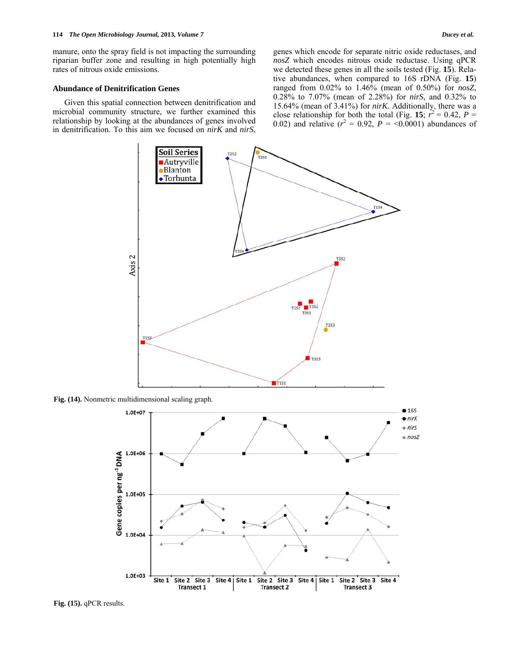manure, onto the spray field is not impacting the surrounding riparian buffer zone and resulting in high potentially high rates of nitrous oxide emissions.

# **Abundance of Denitrification Genes**

 Given this spatial connection between denitrification and microbial community structure, we further examined this relationship by looking at the abundances of genes involved in denitrification. To this aim we focused on *nirK* and *nirS*, genes which encode for separate nitric oxide reductases, and *nosZ* which encodes nitrous oxide reductase. Using qPCR we detected these genes in all the soils tested (Fig. **15**). Relative abundances, when compared to 16S rDNA (Fig. **15**) ranged from 0.02% to 1.46% (mean of 0.50%) for *nosZ*, 0.28% to 7.07% (mean of 2.28%) for *nirS*, and 0.32% to 15.64% (mean of 3.41%) for *nirK*. Additionally, there was a close relationship for both the total (Fig. 15;  $\tilde{r}^2 = 0.42$ ,  $P =$ 0.02) and relative  $(r^2 = 0.92, P = 0.0001)$  abundances of



**Fig. (14).** Nonmetric multidimensional scaling graph.



**Fig. (15).** qPCR results.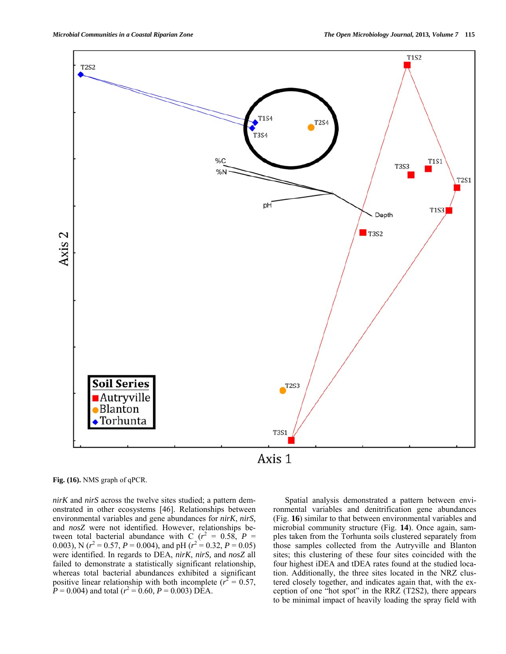

**Fig. (16).** NMS graph of qPCR.

*nirK* and *nirS* across the twelve sites studied; a pattern demonstrated in other ecosystems [46]. Relationships between environmental variables and gene abundances for *nirK*, *nirS,*  and *nosZ* were not identified. However, relationships between total bacterial abundance with C  $(r^2 = 0.58, P =$ 0.003), N ( $r^2 = 0.57$ ,  $P = 0.004$ ), and pH ( $r^2 = 0.32$ ,  $P = 0.05$ ) were identified. In regards to DEA, *nirK*, *nirS,* and *nosZ* all failed to demonstrate a statistically significant relationship, whereas total bacterial abundances exhibited a significant positive linear relationship with both incomplete ( $r^2 = 0.57$ ,  $P = 0.004$ ) and total ( $r^2 = 0.60$ ,  $P = 0.003$ ) DEA.

 Spatial analysis demonstrated a pattern between environmental variables and denitrification gene abundances (Fig. **16**) similar to that between environmental variables and microbial community structure (Fig. **14**). Once again, samples taken from the Torhunta soils clustered separately from those samples collected from the Autryville and Blanton sites; this clustering of these four sites coincided with the four highest iDEA and tDEA rates found at the studied location. Additionally, the three sites located in the NRZ clustered closely together, and indicates again that, with the exception of one "hot spot" in the RRZ (T2S2), there appears to be minimal impact of heavily loading the spray field with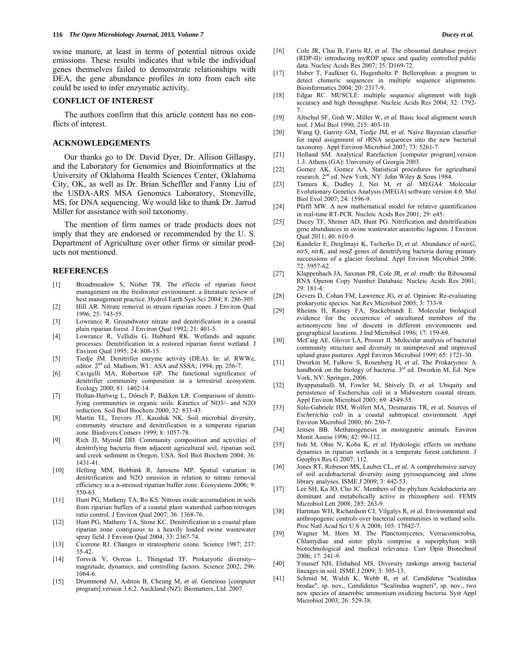swine manure, at least in terms of potential nitrous oxide emissions. These results indicates that while the individual genes themselves failed to demonstrate relationships with DEA, the gene abundance profiles *in toto* from each site could be used to infer enzymatic activity.

# **CONFLICT OF INTEREST**

 The authors confirm that this article content has no conflicts of interest.

## **ACKNOWLEDGEMENTS**

 Our thanks go to Dr. David Dyer, Dr. Allison Gillaspy, and the Laboratory for Genomics and Bioinformatics at the University of Oklahoma Health Sciences Center, Oklahoma City, OK, as well as Dr. Brian Scheffler and Fanny Liu of the USDA-ARS MSA Genomics Laboratory, Stoneville, MS, for DNA sequencing. We would like to thank Dr. Jarrod Miller for assistance with soil taxonomy.

 The mention of firm names or trade products does not imply that they are endorsed or recommended by the U. S. Department of Agriculture over other firms or similar products not mentioned.

## **REFERENCES**

- [1] Broadmeadow S, Nisbet TR. The effects of riparian forest management on the freshwater environment: a literature review of best management practice. Hydrol Earth Syst Sci 2004; 8: 286-305.
- [2] Hill AR. Nitrate removal in stream riparian zones. J Environ Qual 1996; 25: 743-55.
- [3] Lowrance R. Groundwater nitrate and denitrification in a coastal plain riparian forest. J Environ Qual 1992; 21: 401-5.
- [4] Lowrance R, Vellidis G, Hubbard RK. Wetlands and aquatic processes: Denitrification in a restored riparian forest wetland. J Environ Qual 1995; 24: 808-15.
- [5] Tiedje JM. Denitrifier enzyme activity (DEA). In: al. RWWe, editor. 2<sup>nd</sup> ed. Madison, WI.: ASA and SSSA; 1994; pp. 256-7.
- [6] Cavigelli MA, Robertson GP. The functional significance of denitrifier community composition in a terrestrial ecosystem. Ecology 2000; 81: 1402-14.
- [7] Holtan-Hartwig L, Dörsch P, Bakken LR. Comparison of denitrifying communities in organic soils: Kinetics of NO3/- and N2O reduction. Soil Biol Biochem 2000; 32: 833-43.
- [8] Martin TL, Trevors JT, Kaushik NK. Soil microbial diversity, community structure and denitrification in a temperate riparian zone. Biodivers Conserv 1999; 8: 1057-78.
- [9] Rich JJ, Myrold DD. Community composition and activities of denitrifying bacteria from adjacent agricultural soil, riparian soil, and creek sediment in Oregon, USA. Soil Biol Biochem 2004; 36: 1431-41.
- [10] Hefting MM, Bobbink R, Janssens MP. Spatial variation in denitrification and N2O emission in relation to nitrate removal efficiency in a n-stressed riparian buffer zone. Ecosystems 2006; 9: 550-63.
- [11] Hunt PG, Matheny TA, Ro KS. Nitrous oxide accumulation in soils from riparian buffers of a coastal plain watershed carbon/nitrogen ratio control. J Environ Qual 2007; 36: 1368-76.
- [12] Hunt PG, Matheny TA, Stone KC. Denitrification in a coastal plain riparian zone contiguous to a heavily loaded swine wastewater spray field. J Environ Qual 2004; 33: 2367-74.
- [13] Cicerone RJ. Changes in stratospheric ozone. Science 1987; 237: 35-42.
- [14] Torsvik V, Ovreas L, Thingstad TF. Prokaryotic diversity- magnitude, dynamics, and controlling factors. Science 2002; 296: 1064-6.
- [15] Drummond AJ, Ashton B, Cheung M*, et al.* Geneious [computer program].version 3.6.2. Auckland (NZ): Biomatters, Ltd. 2007.
- [16] Cole JR, Chai B, Farris RJ*, et al.* The ribosomal database project (RDP-II): introducing myRDP space and quality controlled public data. Nucleic Acids Res 2007; 35: D169-72.
- [17] Huber T, Faulkner G, Hugenholtz P. Bellerophon: a program to detect chimeric sequences in multiple sequence alignments. Bioinformatics 2004; 20: 2317-9.
- [18] Edgar RC. MUSCLE: multiple sequence alignment with high accuracy and high throughput. Nucleic Acids Res 2004; 32: 1792- 7.
- [19] Altschul SF, Gish W, Miller W*, et al.* Basic local alignment search tool. J Mol Biol 1990; 215: 403-10.
- [20] Wang Q, Garrity GM, Tiedje JM*, et al.* Naive Bayesian classifier for rapid assignment of rRNA sequences into the new bacterial taxonomy. Appl Environ Microbiol 2007; 73: 5261-7.
- [21] Holland SM. Analytical Rarefaction [computer program].version 1.3. Athens (GA): University of Georgia 2003.
- [22] Gomez AK, Gomez AA. Statistical procedures for agricultural research.  $2^{nd}$  ed. New York, NY: John Wiley & Sons 1984.
- [23] Tamura K, Dudley J, Nei M*, et al.* MEGA4: Molecular Evolutionary Genetics Analysis (MEGA) software version 4.0. Mol Biol Evol 2007; 24: 1596-9.
- [24] Pfaffl MW. A new mathematical model for relative quantification in real-time RT-PCR. Nucleic Acids Res 2001; 29: e45.
- [25] Ducey TF, Shriner AD, Hunt PG. Nitrification and denitrification gene abundances in swine wastewater anaerobic lagoons. J Environ Qual 2011; 40: 610-9.
- [26] Kandeler E, Deiglmayr K, Tscherko D*, et al.* Abundance of *narG*, *nirS*, *nirK*, and *nosZ* genes of denitrifying bacteria during primary successions of a glacier foreland. Appl Environ Microbiol 2006; 72: 5957-62.
- [27] Klappenbach JA, Saxman PR, Cole JR*, et al.* rrndb: the Ribosomal RNA Operon Copy Number Database. Nucleic Acids Res 2001; 29: 181-4.
- [28] Gevers D, Cohan FM, Lawrence JG*, et al.* Opinion: Re-evaluating prokaryotic species. Nat Rev Microbiol 2005; 3: 733-9.
- [29] Rheims H, Rainey FA, Stackebrandt E. Molecular biological evidence for the occurrence of uncultured members of the actinomycete line of descent in different environments and geographical locations. J Ind Microbiol 1996; 17: 159-69.
- [30] McCaig AE, Glover LA, Prosser JI. Molecular analysis of bacterial community structure and diversity in unimproved and improved upland grass pastures. Appl Environ Microbiol 1999; 65: 1721-30.
- [31] Dworkin M, Falkow S, Rosenberg H*, et al.* The Prokaryotes: A handbook on the biology of bacteria.  $3<sup>rd</sup>$  ed. Dworkin M, Ed. New York, NY: Springer, 2006.
- [32] Byappanahalli M, Fowler M, Shively D*, et al.* Ubiquity and persistence of Escherichia coli in a Midwestern coastal stream. Appl Environ Microbiol 2003; 69: 4549-55.
- [33] Solo-Gabriele HM, Wolfert MA, Desmarais TR*, et al.* Sources of *Escherichia coli* in a coastal subtropical environment. Appl Environ Microbiol 2000; 66: 230-7.
- [34] Jensen BB. Methanogenesis in monogastric animals. Environ Monit Assess 1996; 42: 99-112.
- [35] Itoh M, Ohte N, Koba K, et al. Hydrologic effects on methane dynamics in riparian wetlands in a temperate forest catchment. J Geophys Res G 2007; 112.
- [36] Jones RT, Robeson MS, Lauber CL*, et al.* A comprehensive survey of soil acidobacterial diversity using pyrosequencing and clone library analyses. ISME J 2009; 3: 442-53.
- [37] Lee SH, Ka JO, Cho JC. Members of the phylum Acidobacteria are dominant and metabolically active in rhizosphere soil. FEMS Microbiol Lett 2008; 285: 263-9.
- [38] Hartman WH, Richardson CJ, Vilgalys R*, et al.* Environmental and anthropogenic controls over bacterial communities in wetland soils. Proc Natl Acad Sci U S A 2008; 105: 17842-7.
- [39] Wagner M, Horn M. The Planctomycetes, Verrucomicrobia, Chlamydiae and sister phyla comprise a superphylum with biotechnological and medical relevance. Curr Opin Biotechnol 2006; 17: 241-9.
- [40] Youssef NH, Elshahed MS. Diversity rankings among bacterial lineages in soil. ISME J 2009; 3: 305-13.
- [41] Schmid M, Walsh K, Webb R*, et al. Candidatus* "Scalindua brodae", sp. nov., *Candidatus* "Scalindua wagneri", sp. nov., two new species of anaerobic ammonium oxidizing bacteria. Syst Appl Microbiol 2003; 26: 529-38.